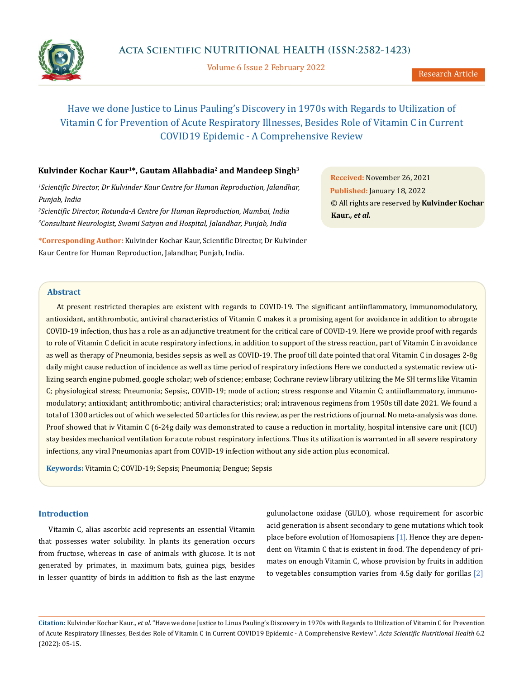

Volume 6 Issue 2 February 2022

# Have we done Justice to Linus Pauling's Discovery in 1970s with Regards to Utilization of Vitamin C for Prevention of Acute Respiratory Illnesses, Besides Role of Vitamin C in Current COVID19 Epidemic - A Comprehensive Review

# **Kulvinder Kochar Kaur1\*, Gautam Allahbadia2 and Mandeep Singh3**

<sup>1</sup> Scientific Director, Dr Kulvinder Kaur Centre for Human Reproduction, Jalandhar, *Punjab, India*

*2 Scientific Director, Rotunda-A Centre for Human Reproduction, Mumbai, India 3 Consultant Neurologist, Swami Satyan and Hospital, Jalandhar, Punjab, India*

**\*Corresponding Author:** Kulvinder Kochar Kaur, Scientific Director, Dr Kulvinder Kaur Centre for Human Reproduction, Jalandhar, Punjab, India.

**Received:** November 26, 2021 **Published:** January 18, 2022 © All rights are reserved by **Kulvinder Kochar Kaur***., et al.*

# **Abstract**

At present restricted therapies are existent with regards to COVID-19. The significant antiinflammatory, immunomodulatory, antioxidant, antithrombotic, antiviral characteristics of Vitamin C makes it a promising agent for avoidance in addition to abrogate COVID-19 infection, thus has a role as an adjunctive treatment for the critical care of COVID-19. Here we provide proof with regards to role of Vitamin C deficit in acute respiratory infections, in addition to support of the stress reaction, part of Vitamin C in avoidance as well as therapy of Pneumonia, besides sepsis as well as COVID-19. The proof till date pointed that oral Vitamin C in dosages 2-8g daily might cause reduction of incidence as well as time period of respiratory infections Here we conducted a systematic review utilizing search engine pubmed, google scholar; web of science; embase; Cochrane review library utilizing the Me SH terms like Vitamin C; physiological stress; Pneumonia; Sepsis;, COVID-19; mode of action; stress response and Vitamin C; antiinflammatory, immunomodulatory; antioxidant; antithrombotic; antiviral characteristics; oral; intravenous regimens from 1950s till date 2021. We found a total of 1300 articles out of which we selected 50 articles for this review, as per the restrictions of journal. No meta-analysis was done. Proof showed that iv Vitamin C (6-24g daily was demonstrated to cause a reduction in mortality, hospital intensive care unit (ICU) stay besides mechanical ventilation for acute robust respiratory infections. Thus its utilization is warranted in all severe respiratory infections, any viral Pneumonias apart from COVID-19 infection without any side action plus economical.

**Keywords:** Vitamin C; COVID-19; Sepsis; Pneumonia; Dengue; Sepsis

# **Introduction**

Vitamin C, alias ascorbic acid represents an essential Vitamin that possesses water solubility. In plants its generation occurs from fructose, whereas in case of animals with glucose. It is not generated by primates, in maximum bats, guinea pigs, besides in lesser quantity of birds in addition to fish as the last enzyme

gulunolactone oxidase (GULO), whose requirement for ascorbic acid generation is absent secondary to gene mutations which took place before evolution of Homosapiens [1]. Hence they are dependent on Vitamin C that is existent in food. The dependency of primates on enough Vitamin C, whose provision by fruits in addition to vegetables consumption varies from 4.5g daily for gorillas [2]

**Citation:** Kulvinder Kochar Kaur*., et al.* "Have we done Justice to Linus Pauling's Discovery in 1970s with Regards to Utilization of Vitamin C for Prevention of Acute Respiratory Illnesses, Besides Role of Vitamin C in Current COVID19 Epidemic - A Comprehensive Review". *Acta Scientific Nutritional Health* 6.2 (2022): 05-15.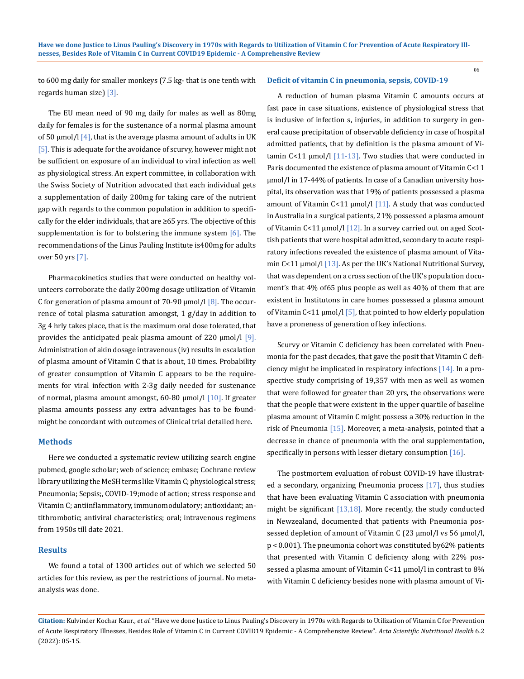to 600 mg daily for smaller monkeys (7.5 kg- that is one tenth with regards human size) [3].

The EU mean need of 90 mg daily for males as well as 80mg daily for females is for the sustenance of a normal plasma amount of 50  $\mu$ mol/l [4], that is the average plasma amount of adults in UK [5]. This is adequate for the avoidance of scurvy, however might not be sufficient on exposure of an individual to viral infection as well as physiological stress. An expert committee, in collaboration with the Swiss Society of Nutrition advocated that each individual gets a supplementation of daily 200mg for taking care of the nutrient gap with regards to the common population in addition to specifically for the elder individuals, that are ≥65 yrs. The objective of this supplementation is for to bolstering the immune system  $[6]$ . The recommendations of the Linus Pauling Institute is400mg for adults over 50 yrs [7].

Pharmacokinetics studies that were conducted on healthy volunteers corroborate the daily 200mg dosage utilization of Vitamin C for generation of plasma amount of 70-90  $\mu$ mol/l [8]. The occurrence of total plasma saturation amongst, 1 g/day in addition to 3g 4 hrly takes place, that is the maximum oral dose tolerated, that provides the anticipated peak plasma amount of 220  $\mu$ mol/l [9]. Administration of akin dosage intravenous (iv) results in escalation of plasma amount of Vitamin C that is about, 10 times. Probability of greater consumption of Vitamin C appears to be the requirements for viral infection with 2-3g daily needed for sustenance of normal, plasma amount amongst, 60-80  $\mu$ mol/l [10]. If greater plasma amounts possess any extra advantages has to be foundmight be concordant with outcomes of Clinical trial detailed here.

### **Methods**

Here we conducted a systematic review utilizing search engine pubmed, google scholar; web of science; embase; Cochrane review library utilizing the MeSH terms like Vitamin C; physiological stress; Pneumonia; Sepsis;, COVID-19;mode of action; stress response and Vitamin C; antiinflammatory, immunomodulatory; antioxidant; antithrombotic; antiviral characteristics; oral; intravenous regimens from 1950s till date 2021.

### **Results**

We found a total of 1300 articles out of which we selected 50 articles for this review, as per the restrictions of journal. No metaanalysis was done.

### **Deficit of vitamin C in pneumonia, sepsis, COVID-19**

06

A reduction of human plasma Vitamin C amounts occurs at fast pace in case situations, existence of physiological stress that is inclusive of infection s, injuries, in addition to surgery in general cause precipitation of observable deficiency in case of hospital admitted patients, that by definition is the plasma amount of Vitamin C<11  $\mu$ mol/l [11-13]. Two studies that were conducted in Paris documented the existence of plasma amount of Vitamin C<11 μmol/l in 17-44% of patients. In case of a Canadian university hospital, its observation was that 19% of patients possessed a plasma amount of Vitamin C<11 μmol/l [11]. A study that was conducted in Australia in a surgical patients, 21% possessed a plasma amount of Vitamin C<11  $\mu$ mol/l [12]. In a survey carried out on aged Scottish patients that were hospital admitted, secondary to acute respiratory infections revealed the existence of plasma amount of Vitamin C<11 μmol/l [13]. As per the UK's National Nutritional Survey, that was dependent on a cross section of the UK's population document's that 4% of65 plus people as well as 40% of them that are existent in Institutons in care homes possessed a plasma amount of Vitamin C<11 μmol/l  $\overline{5}$ , that pointed to how elderly population have a proneness of generation of key infections.

Scurvy or Vitamin C deficiency has been correlated with Pneumonia for the past decades, that gave the posit that Vitamin C deficiency might be implicated in respiratory infections [14]. In a prospective study comprising of 19,357 with men as well as women that were followed for greater than 20 yrs, the observations were that the people that were existent in the upper quartile of baseline plasma amount of Vitamin C might possess a 30% reduction in the risk of Pneumonia [15]. Moreover, a meta-analysis, pointed that a decrease in chance of pneumonia with the oral supplementation, specifically in persons with lesser dietary consumption [16].

The postmortem evaluation of robust COVID-19 have illustrated a secondary, organizing Pneumonia process [17], thus studies that have been evaluating Vitamin C association with pneumonia might be significant [13,18]. More recently, the study conducted in Newzealand, documented that patients with Pneumonia possessed depletion of amount of Vitamin C (23 μmol/l vs 56 μmol/l, p < 0.001). The pneumonia cohort was constituted by62% patients that presented with Vitamin C deficiency along with 22% possessed a plasma amount of Vitamin C<11 μmol/l in contrast to 8% with Vitamin C deficiency besides none with plasma amount of Vi-

**Citation:** Kulvinder Kochar Kaur*., et al.* "Have we done Justice to Linus Pauling's Discovery in 1970s with Regards to Utilization of Vitamin C for Prevention of Acute Respiratory Illnesses, Besides Role of Vitamin C in Current COVID19 Epidemic - A Comprehensive Review". *Acta Scientific Nutritional Health* 6.2 (2022): 05-15.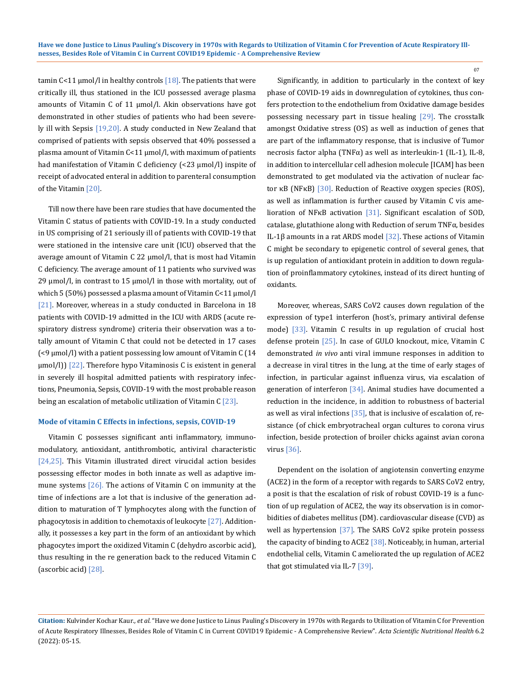tamin  $C < 11$  µmol/l in healthy controls  $[18]$ . The patients that were critically ill, thus stationed in the ICU possessed average plasma amounts of Vitamin C of 11 μmol/l. Akin observations have got demonstrated in other studies of patients who had been severely ill with Sepsis [19,20]. A study conducted in New Zealand that comprised of patients with sepsis observed that 40% possessed a plasma amount of Vitamin C<11 μmol/l, with maximum of patients had manifestation of Vitamin C deficiency (<23 μmol/l) inspite of receipt of advocated enteral in addition to parenteral consumption of the Vitamin [20].

Till now there have been rare studies that have documented the Vitamin C status of patients with COVID-19. In a study conducted in US comprising of 21 seriously ill of patients with COVID-19 that were stationed in the intensive care unit (ICU) observed that the average amount of Vitamin C 22 μmol/l, that is most had Vitamin C deficiency. The average amount of 11 patients who survived was 29  $\mu$ mol/l, in contrast to 15  $\mu$ mol/l in those with mortality, out of which 5 (50%) possessed a plasma amount of Vitamin C<11 μmol/l [21]. Moreover, whereas in a study conducted in Barcelona in 18 patients with COVID-19 admitted in the ICU with ARDS (acute respiratory distress syndrome) criteria their observation was a totally amount of Vitamin C that could not be detected in 17 cases (<9 μmol/l) with a patient possessing low amount of Vitamin C (14 μmol/l)) [22]. Therefore hypo Vitaminosis C is existent in general in severely ill hospital admitted patients with respiratory infections, Pneumonia, Sepsis, COVID-19 with the most probable reason being an escalation of metabolic utilization of Vitamin C [23].

#### **Mode of vitamin C Effects in infections, sepsis, COVID-19**

Vitamin C possesses significant anti inflammatory, immunomodulatory, antioxidant, antithrombotic, antiviral characteristic [24,25]. This Vitamin illustrated direct virucidal action besides possessing effector modes in both innate as well as adaptive immune systems [26]. The actions of Vitamin C on immunity at the time of infections are a lot that is inclusive of the generation addition to maturation of T lymphocytes along with the function of phagocytosis in addition to chemotaxis of leukocyte  $[27]$ . Additionally, it possesses a key part in the form of an antioxidant by which phagocytes import the oxidized Vitamin C (dehydro ascorbic acid), thus resulting in the re generation back to the reduced Vitamin C (ascorbic acid) [28].

Significantly, in addition to particularly in the context of key phase of COVID-19 aids in downregulation of cytokines, thus confers protection to the endothelium from Oxidative damage besides possessing necessary part in tissue healing  $[29]$ . The crosstalk amongst Oxidative stress (OS) as well as induction of genes that are part of the inflammatory response, that is inclusive of Tumor necrosis factor alpha (TNFα) as well as interleukin-1 (IL-1), IL-8, in addition to intercellular cell adhesion molecule [ICAM] has been demonstrated to get modulated via the activation of nuclear factor κB (NFκB) [30]. Reduction of Reactive oxygen species (ROS), as well as inflammation is further caused by Vitamin C vis amelioration of NFκB activation [31]. Significant escalation of SOD, catalase, glutathione along with Reduction of serum TNFα, besides IL-1β amounts in a rat ARDS model  $[32]$ . These actions of Vitamin C might be secondary to epigenetic control of several genes, that is up regulation of antioxidant protein in addition to down regulation of proinflammatory cytokines, instead of its direct hunting of oxidants.

07

Moreover, whereas, SARS CoV2 causes down regulation of the expression of type1 interferon (host's, primary antiviral defense mode) [33]. Vitamin C results in up regulation of crucial host defense protein [25]. In case of GULO knockout, mice, Vitamin C demonstrated *in vivo* anti viral immune responses in addition to a decrease in viral titres in the lung, at the time of early stages of infection, in particular against influenza virus, via escalation of generation of interferon [34]. Animal studies have documented a reduction in the incidence, in addition to robustness of bacterial as well as viral infections  $[35]$ , that is inclusive of escalation of, resistance (of chick embryotracheal organ cultures to corona virus infection, beside protection of broiler chicks against avian corona virus [36].

Dependent on the isolation of angiotensin converting enzyme (ACE2) in the form of a receptor with regards to SARS CoV2 entry, a posit is that the escalation of risk of robust COVID-19 is a function of up regulation of ACE2, the way its observation is in comorbidities of diabetes mellitus (DM). cardiovascular disease (CVD) as well as hypertension [37]. The SARS CoV2 spike protein possess the capacity of binding to ACE2 [38]. Noticeably, in human, arterial endothelial cells, Vitamin C ameliorated the up regulation of ACE2 that got stimulated via IL-7 [39].

**Citation:** Kulvinder Kochar Kaur*., et al.* "Have we done Justice to Linus Pauling's Discovery in 1970s with Regards to Utilization of Vitamin C for Prevention of Acute Respiratory Illnesses, Besides Role of Vitamin C in Current COVID19 Epidemic - A Comprehensive Review". *Acta Scientific Nutritional Health* 6.2 (2022): 05-15.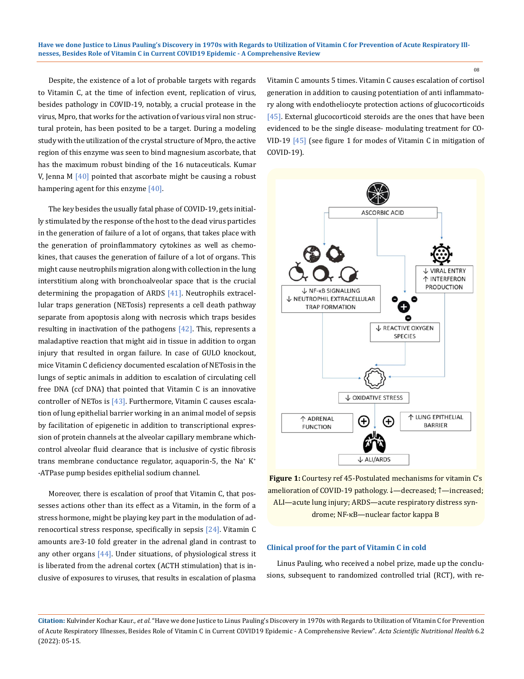Despite, the existence of a lot of probable targets with regards to Vitamin C, at the time of infection event, replication of virus, besides pathology in COVID-19, notably, a crucial protease in the virus, Mpro, that works for the activation of various viral non structural protein, has been posited to be a target. During a modeling study with the utilization of the crystal structure of Mpro, the active region of this enzyme was seen to bind magnesium ascorbate, that has the maximum robust binding of the 16 nutaceuticals. Kumar V, Jenna M  $[40]$  pointed that ascorbate might be causing a robust hampering agent for this enzyme [40].

The key besides the usually fatal phase of COVID-19, gets initially stimulated by the response of the host to the dead virus particles in the generation of failure of a lot of organs, that takes place with the generation of proinflammatory cytokines as well as chemokines, that causes the generation of failure of a lot of organs. This might cause neutrophils migration along with collection in the lung interstitium along with bronchoalveolar space that is the crucial determining the propagation of ARDS [41]. Neutrophils extracellular traps generation (NETosis) represents a cell death pathway separate from apoptosis along with necrosis which traps besides resulting in inactivation of the pathogens  $[42]$ . This, represents a maladaptive reaction that might aid in tissue in addition to organ injury that resulted in organ failure. In case of GULO knockout, mice Vitamin C deficiency documented escalation of NETosis in the lungs of septic animals in addition to escalation of circulating cell free DNA (ccf DNA) that pointed that Vitamin C is an innovative controller of NETos is  $[43]$ . Furthermore, Vitamin C causes escalation of lung epithelial barrier working in an animal model of sepsis by facilitation of epigenetic in addition to transcriptional expression of protein channels at the alveolar capillary membrane whichcontrol alveolar fluid clearance that is inclusive of cystic fibrosis trans membrane conductance regulator, aquaporin-5, the Na<sup>+</sup> K<sup>+</sup> -ATPase pump besides epithelial sodium channel.

Moreover, there is escalation of proof that Vitamin C, that possesses actions other than its effect as a Vitamin, in the form of a stress hormone, might be playing key part in the modulation of adrenocortical stress response, specifically in sepsis [24]. Vitamin C amounts are3-10 fold greater in the adrenal gland in contrast to any other organs  $[44]$ . Under situations, of physiological stress it is liberated from the adrenal cortex (ACTH stimulation) that is inclusive of exposures to viruses, that results in escalation of plasma

Vitamin C amounts 5 times. Vitamin C causes escalation of cortisol generation in addition to causing potentiation of anti inflammatory along with endotheliocyte protection actions of glucocorticoids [45]. External glucocorticoid steroids are the ones that have been evidenced to be the single disease- modulating treatment for CO-VID-19  $[45]$  (see figure 1 for modes of Vitamin C in mitigation of COVID-19).



**Figure 1:** Courtesy ref 45-Postulated mechanisms for vitamin C's amelioration of COVID-19 pathology. ↓—decreased; ↑—increased; ALI—acute lung injury; ARDS—acute respiratory distress syndrome; NF-κB—nuclear factor kappa B

### **Clinical proof for the part of Vitamin C in cold**

Linus Pauling, who received a nobel prize, made up the conclusions, subsequent to randomized controlled trial (RCT), with re-

**Citation:** Kulvinder Kochar Kaur*., et al.* "Have we done Justice to Linus Pauling's Discovery in 1970s with Regards to Utilization of Vitamin C for Prevention of Acute Respiratory Illnesses, Besides Role of Vitamin C in Current COVID19 Epidemic - A Comprehensive Review". *Acta Scientific Nutritional Health* 6.2 (2022): 05-15.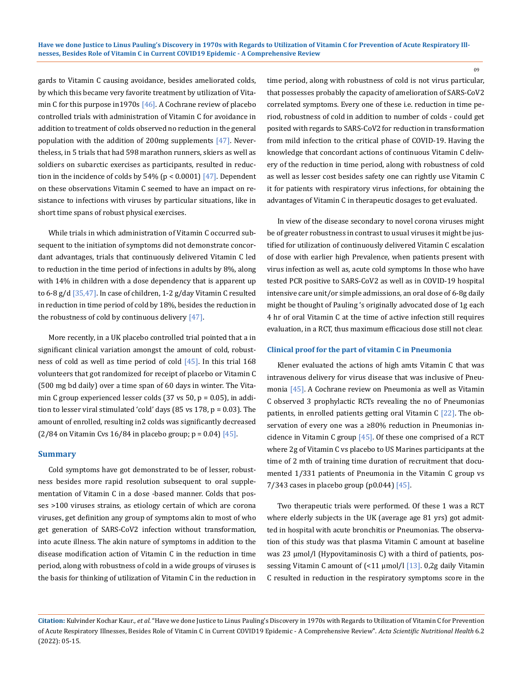gards to Vitamin C causing avoidance, besides ameliorated colds, by which this became very favorite treatment by utilization of Vitamin C for this purpose in 1970s  $[46]$ . A Cochrane review of placebo controlled trials with administration of Vitamin C for avoidance in addition to treatment of colds observed no reduction in the general population with the addition of 200mg supplements [47]. Nevertheless, in 5 trials that had 598 marathon runners, skiers as well as soldiers on subarctic exercises as participants, resulted in reduction in the incidence of colds by  $54\%$  (p < 0.0001) [47]. Dependent on these observations Vitamin C seemed to have an impact on resistance to infections with viruses by particular situations, like in short time spans of robust physical exercises.

While trials in which administration of Vitamin C occurred subsequent to the initiation of symptoms did not demonstrate concordant advantages, trials that continuously delivered Vitamin C led to reduction in the time period of infections in adults by 8%, along with 14% in children with a dose dependency that is apparent up to 6-8 g/d [35,47]. In case of children, 1-2 g/day Vitamin C resulted in reduction in time period of cold by 18%, besides the reduction in the robustness of cold by continuous delivery  $[47]$ .

More recently, in a UK placebo controlled trial pointed that a in significant clinical variation amongst the amount of cold, robustness of cold as well as time period of cold  $[45]$ . In this trial 168 volunteers that got randomized for receipt of placebo or Vitamin C (500 mg bd daily) over a time span of 60 days in winter. The Vitamin C group experienced lesser colds  $(37 \text{ vs } 50, p = 0.05)$ , in addition to lesser viral stimulated 'cold' days (85 vs 178, p = 0.03). The amount of enrolled, resulting in2 colds was significantly decreased  $(2/84$  on Vitamin Cvs 16/84 in placebo group;  $p = 0.04$ )  $[45]$ .

#### **Summary**

Cold symptoms have got demonstrated to be of lesser, robustness besides more rapid resolution subsequent to oral supplementation of Vitamin C in a dose -based manner. Colds that posses >100 viruses strains, as etiology certain of which are corona viruses, get definition any group of symptoms akin to most of who get generation of SARS-CoV2 infection without transformation, into acute illness. The akin nature of symptoms in addition to the disease modification action of Vitamin C in the reduction in time period, along with robustness of cold in a wide groups of viruses is the basis for thinking of utilization of Vitamin C in the reduction in time period, along with robustness of cold is not virus particular, that possesses probably the capacity of amelioration of SARS-CoV2 correlated symptoms. Every one of these i.e. reduction in time period, robustness of cold in addition to number of colds - could get posited with regards to SARS-CoV2 for reduction in transformation from mild infection to the critical phase of COVID-19. Having the knowledge that concordant actions of continuous Vitamin C delivery of the reduction in time period, along with robustness of cold as well as lesser cost besides safety one can rightly use Vitamin C it for patients with respiratory virus infections, for obtaining the advantages of Vitamin C in therapeutic dosages to get evaluated.

In view of the disease secondary to novel corona viruses might be of greater robustness in contrast to usual viruses it might be justified for utilization of continuously delivered Vitamin C escalation of dose with earlier high Prevalence, when patients present with virus infection as well as, acute cold symptoms In those who have tested PCR positive to SARS-CoV2 as well as in COVID-19 hospital intensive care unit/or simple admissions, an oral dose of 6-8g daily might be thought of Pauling 's originally advocated dose of 1g each 4 hr of oral Vitamin C at the time of active infection still requires evaluation, in a RCT, thus maximum efficacious dose still not clear.

#### **Clinical proof for the part of vitamin C in Pneumonia**

Klener evaluated the actions of high amts Vitamin C that was intravenous delivery for virus disease that was inclusive of Pneumonia [45]. A Cochrane review on Pneumonia as well as Vitamin C observed 3 prophylactic RCTs revealing the no of Pneumonias patients, in enrolled patients getting oral Vitamin C [22]. The observation of every one was a ≥80% reduction in Pneumonias incidence in Vitamin C group [45]. Of these one comprised of a RCT where 2g of Vitamin C vs placebo to US Marines participants at the time of 2 mth of training time duration of recruitment that documented 1/331 patients of Pneumonia in the Vitamin C group vs 7/343 cases in placebo group (p0.044) [45].

Two therapeutic trials were performed. Of these 1 was a RCT where elderly subjects in the UK (average age 81 yrs) got admitted in hospital with acute bronchitis or Pneumonias. The observation of this study was that plasma Vitamin C amount at baseline was 23 μmol/l (Hypovitaminosis C) with a third of patients, possessing Vitamin C amount of (<11 μmol/l [13]. 0,2g daily Vitamin C resulted in reduction in the respiratory symptoms score in the

**Citation:** Kulvinder Kochar Kaur*., et al.* "Have we done Justice to Linus Pauling's Discovery in 1970s with Regards to Utilization of Vitamin C for Prevention of Acute Respiratory Illnesses, Besides Role of Vitamin C in Current COVID19 Epidemic - A Comprehensive Review". *Acta Scientific Nutritional Health* 6.2 (2022): 05-15.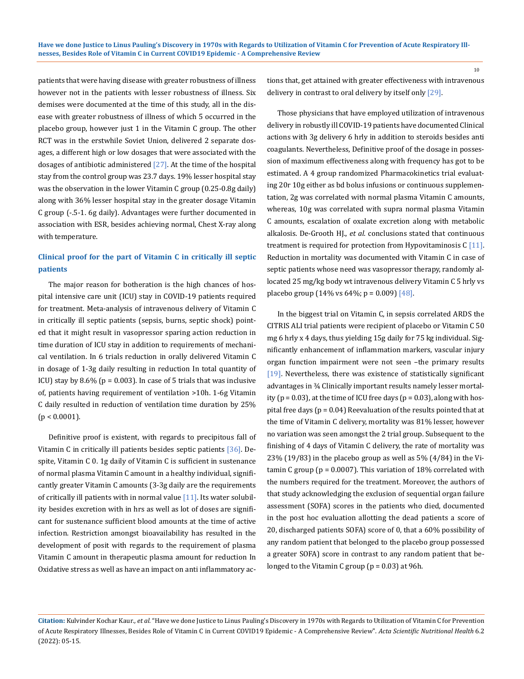patients that were having disease with greater robustness of illness however not in the patients with lesser robustness of illness. Six demises were documented at the time of this study, all in the disease with greater robustness of illness of which 5 occurred in the placebo group, however just 1 in the Vitamin C group. The other RCT was in the erstwhile Soviet Union, delivered 2 separate dosages, a different high or low dosages that were associated with the dosages of antibiotic administered [27]. At the time of the hospital stay from the control group was 23.7 days. 19% lesser hospital stay was the observation in the lower Vitamin C group (0.25-0.8g daily) along with 36% lesser hospital stay in the greater dosage Vitamin C group (-.5-1. 6g daily). Advantages were further documented in association with ESR, besides achieving normal, Chest X-ray along with temperature.

# **Clinical proof for the part of Vitamin C in critically ill septic patients**

The major reason for botheration is the high chances of hospital intensive care unit (ICU) stay in COVID-19 patients required for treatment. Meta-analysis of intravenous delivery of Vitamin C in critically ill septic patients (sepsis, burns, septic shock) pointed that it might result in vasopressor sparing action reduction in time duration of ICU stay in addition to requirements of mechanical ventilation. In 6 trials reduction in orally delivered Vitamin C in dosage of 1-3g daily resulting in reduction In total quantity of ICU) stay by 8.6% ( $p = 0.003$ ). In case of 5 trials that was inclusive of, patients having requirement of ventilation >10h. 1-6g Vitamin C daily resulted in reduction of ventilation time duration by 25%  $(p < 0.0001)$ .

Definitive proof is existent, with regards to precipitous fall of Vitamin C in critically ill patients besides septic patients [36]. Despite, Vitamin C 0. 1g daily of Vitamin C is sufficient in sustenance of normal plasma Vitamin C amount in a healthy individual, significantly greater Vitamin C amounts (3-3g daily are the requirements of critically ill patients with in normal value [11]. Its water solubility besides excretion with in hrs as well as lot of doses are significant for sustenance sufficient blood amounts at the time of active infection. Restriction amongst bioavailability has resulted in the development of posit with regards to the requirement of plasma Vitamin C amount in therapeutic plasma amount for reduction In Oxidative stress as well as have an impact on anti inflammatory actions that, get attained with greater effectiveness with intravenous delivery in contrast to oral delivery by itself only [29].

10

Those physicians that have employed utilization of intravenous delivery in robustly ill COVID-19 patients have documented Clinical actions with 3g delivery 6 hrly in addition to steroids besides anti coagulants. Nevertheless, Definitive proof of the dosage in possession of maximum effectiveness along with frequency has got to be estimated. A 4 group randomized Pharmacokinetics trial evaluating 20r 10g either as bd bolus infusions or continuous supplementation, 2g was correlated with normal plasma Vitamin C amounts, whereas, 10g was correlated with supra normal plasma Vitamin C amounts, escalation of oxalate excretion along with metabolic alkalosis. De-Grooth HJ., *et al*. conclusions stated that continuous treatment is required for protection from Hypovitaminosis  $C$  [11]. Reduction in mortality was documented with Vitamin C in case of septic patients whose need was vasopressor therapy, randomly allocated 25 mg/kg body wt intravenous delivery Vitamin C 5 hrly vs placebo group  $(14\% \text{ vs } 64\%; \text{ p} = 0.009)$  [48].

In the biggest trial on Vitamin C, in sepsis correlated ARDS the CITRIS ALI trial patients were recipient of placebo or Vitamin C 50 mg 6 hrly x 4 days, thus yielding 15g daily for 75 kg individual. Significantly enhancement of inflammation markers, vascular injury organ function impairment were not seen –the primary results [19]. Nevertheless, there was existence of statistically significant advantages in ¾ Clinically important results namely lesser mortality ( $p = 0.03$ ), at the time of ICU free days ( $p = 0.03$ ), along with hospital free days ( $p = 0.04$ ) Reevaluation of the results pointed that at the time of Vitamin C delivery, mortality was 81% lesser, however no variation was seen amongst the 2 trial group. Subsequent to the finishing of 4 days of Vitamin C delivery, the rate of mortality was 23% (19/83) in the placebo group as well as 5% (4/84) in the Vitamin C group ( $p = 0.0007$ ). This variation of 18% correlated with the numbers required for the treatment. Moreover, the authors of that study acknowledging the exclusion of sequential organ failure assessment (SOFA) scores in the patients who died, documented in the post hoc evaluation allotting the dead patients a score of 20, discharged patients SOFA) score of 0, that a 60% possibility of any random patient that belonged to the placebo group possessed a greater SOFA) score in contrast to any random patient that belonged to the Vitamin C group ( $p = 0.03$ ) at 96h.

**Citation:** Kulvinder Kochar Kaur*., et al.* "Have we done Justice to Linus Pauling's Discovery in 1970s with Regards to Utilization of Vitamin C for Prevention of Acute Respiratory Illnesses, Besides Role of Vitamin C in Current COVID19 Epidemic - A Comprehensive Review". *Acta Scientific Nutritional Health* 6.2 (2022): 05-15.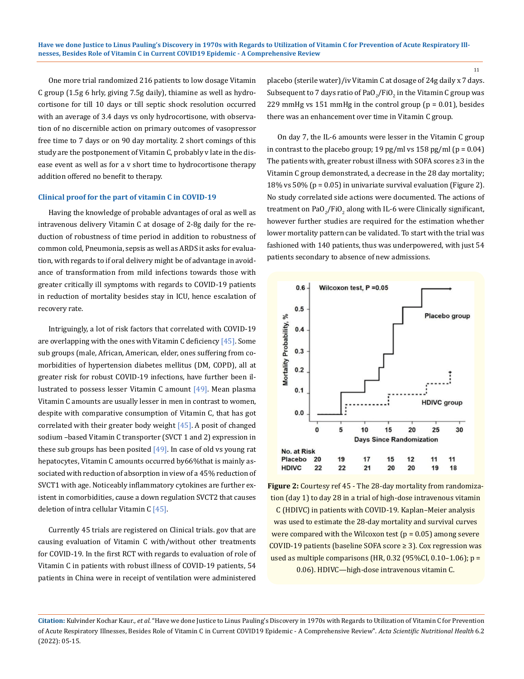One more trial randomized 216 patients to low dosage Vitamin C group (1.5g 6 hrly, giving 7.5g daily), thiamine as well as hydrocortisone for till 10 days or till septic shock resolution occurred with an average of 3.4 days vs only hydrocortisone, with observation of no discernible action on primary outcomes of vasopressor free time to 7 days or on 90 day mortality. 2 short comings of this study are the postponement of Vitamin C, probably v late in the disease event as well as for a v short time to hydrocortisone therapy addition offered no benefit to therapy.

### **Clinical proof for the part of vitamin C in COVID-19**

Having the knowledge of probable advantages of oral as well as intravenous delivery Vitamin C at dosage of 2-8g daily for the reduction of robustness of time period in addition to robustness of common cold, Pneumonia, sepsis as well as ARDS it asks for evaluation, with regards to if oral delivery might be of advantage in avoidance of transformation from mild infections towards those with greater critically ill symptoms with regards to COVID-19 patients in reduction of mortality besides stay in ICU, hence escalation of recovery rate.

Intriguingly, a lot of risk factors that correlated with COVID-19 are overlapping with the ones with Vitamin C deficiency  $[45]$ . Some sub groups (male, African, American, elder, ones suffering from comorbidities of hypertension diabetes mellitus (DM, COPD), all at greater risk for robust COVID-19 infections, have further been illustrated to possess lesser Vitamin C amount [49]. Mean plasma Vitamin C amounts are usually lesser in men in contrast to women, despite with comparative consumption of Vitamin C, that has got correlated with their greater body weight  $[45]$ . A posit of changed sodium –based Vitamin C transporter (SVCT 1 and 2) expression in these sub groups has been posited  $[49]$ . In case of old vs young rat hepatocytes, Vitamin C amounts occurred by66%that is mainly associated with reduction of absorption in view of a 45% reduction of SVCT1 with age. Noticeably inflammatory cytokines are further existent in comorbidities, cause a down regulation SVCT2 that causes deletion of intra cellular Vitamin  $C$  [45].

Currently 45 trials are registered on Clinical trials. gov that are causing evaluation of Vitamin C with/without other treatments for COVID-19. In the first RCT with regards to evaluation of role of Vitamin C in patients with robust illness of COVID-19 patients, 54 patients in China were in receipt of ventilation were administered

placebo (sterile water)/iv Vitamin C at dosage of 24g daily x 7 days. Subsequent to 7 days ratio of Pa $\rm O_2$ /Fi $\rm O_2$  in the Vitamin C group was 229 mmHg vs 151 mmHg in the control group ( $p = 0.01$ ), besides there was an enhancement over time in Vitamin C group.

On day 7, the IL-6 amounts were lesser in the Vitamin C group in contrast to the placebo group; 19 pg/ml vs  $158$  pg/ml (p = 0.04) The patients with, greater robust illness with SOFA scores ≥3 in the Vitamin C group demonstrated, a decrease in the 28 day mortality; 18% vs 50% (p = 0.05) in univariate survival evaluation (Figure 2). No study correlated side actions were documented. The actions of treatment on PaO $_2$ /FiO $_2$  along with IL-6 were Clinically significant, however further studies are required for the estimation whether lower mortality pattern can be validated. To start with the trial was fashioned with 140 patients, thus was underpowered, with just 54 patients secondary to absence of new admissions.



**Figure 2:** Courtesy ref 45 - The 28-day mortality from randomization (day 1) to day 28 in a trial of high-dose intravenous vitamin C (HDIVC) in patients with COVID-19. Kaplan–Meier analysis was used to estimate the 28-day mortality and survival curves were compared with the Wilcoxon test ( $p = 0.05$ ) among severe COVID-19 patients (baseline SOFA score ≥ 3). Cox regression was used as multiple comparisons (HR,  $0.32$  (95%CI,  $0.10-1.06$ ); p = 0.06). HDIVC—high-dose intravenous vitamin C.

**Citation:** Kulvinder Kochar Kaur*., et al.* "Have we done Justice to Linus Pauling's Discovery in 1970s with Regards to Utilization of Vitamin C for Prevention of Acute Respiratory Illnesses, Besides Role of Vitamin C in Current COVID19 Epidemic - A Comprehensive Review". *Acta Scientific Nutritional Health* 6.2 (2022): 05-15.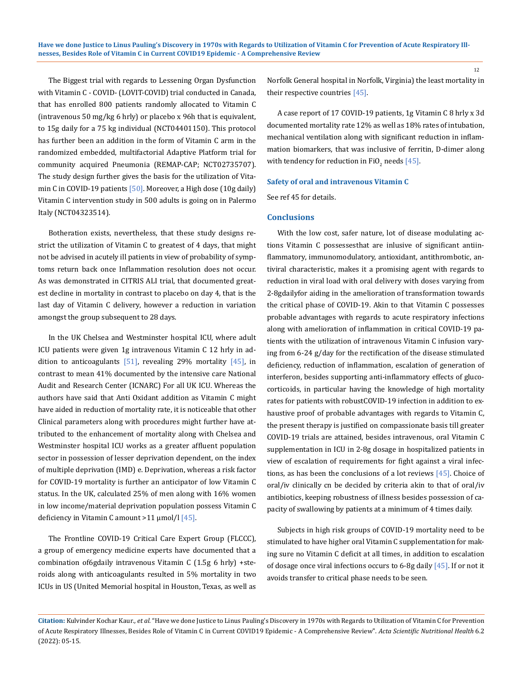The Biggest trial with regards to Lessening Organ Dysfunction with Vitamin C - COVID- (LOVIT-COVID) trial conducted in Canada, that has enrolled 800 patients randomly allocated to Vitamin C (intravenous 50 mg/kg 6 hrly) or placebo x 96h that is equivalent, to 15g daily for a 75 kg individual (NCT04401150). This protocol has further been an addition in the form of Vitamin C arm in the randomized embedded, multifactorial Adaptive Platform trial for community acquired Pneumonia (REMAP-CAP; NCT02735707). The study design further gives the basis for the utilization of Vitamin C in COVID-19 patients [50]. Moreover, a High dose (10g daily) Vitamin C intervention study in 500 adults is going on in Palermo Italy (NCT04323514).

Botheration exists, nevertheless, that these study designs restrict the utilization of Vitamin C to greatest of 4 days, that might not be advised in acutely ill patients in view of probability of symptoms return back once Inflammation resolution does not occur. As was demonstrated in CITRIS ALI trial, that documented greatest decline in mortality in contrast to placebo on day 4, that is the last day of Vitamin C delivery, however a reduction in variation amongst the group subsequent to 28 days.

In the UK Chelsea and Westminster hospital ICU, where adult ICU patients were given 1g intravenous Vitamin C 12 hrly in addition to anticoagulants [51], revealing 29% mortality [45], in contrast to mean 41% documented by the intensive care National Audit and Research Center (ICNARC) For all UK ICU. Whereas the authors have said that Anti Oxidant addition as Vitamin C might have aided in reduction of mortality rate, it is noticeable that other Clinical parameters along with procedures might further have attributed to the enhancement of mortality along with Chelsea and Westminster hospital ICU works as a greater affluent population sector in possession of lesser deprivation dependent, on the index of multiple deprivation (IMD) e. Deprivation, whereas a risk factor for COVID-19 mortality is further an anticipator of low Vitamin C status. In the UK, calculated 25% of men along with 16% women in low income/material deprivation population possess Vitamin C deficiency in Vitamin C amount >11 μmol/l [45].

The Frontline COVID-19 Critical Care Expert Group (FLCCC), a group of emergency medicine experts have documented that a combination of6gdaily intravenous Vitamin C (1.5g 6 hrly) +steroids along with anticoagulants resulted in 5% mortality in two ICUs in US (United Memorial hospital in Houston, Texas, as well as Norfolk General hospital in Norfolk, Virginia) the least mortality in their respective countries [45].

A case report of 17 COVID-19 patients, 1g Vitamin C 8 hrly x 3d documented mortality rate 12% as well as 18% rates of intubation, mechanical ventilation along with significant reduction in inflammation biomarkers, that was inclusive of ferritin, D-dimer along with tendency for reduction in FiO<sub>2</sub> needs  $[45]$ .

### **Safety of oral and intravenous Vitamin C**

See ref 45 for details.

## **Conclusions**

With the low cost, safer nature, lot of disease modulating actions Vitamin C possessesthat are inlusive of significant antiinflammatory, immunomodulatory, antioxidant, antithrombotic, antiviral characteristic, makes it a promising agent with regards to reduction in viral load with oral delivery with doses varying from 2-8gdailyfor aiding in the amelioration of transformation towards the critical phase of COVID-19. Akin to that Vitamin C possesses probable advantages with regards to acute respiratory infections along with amelioration of inflammation in critical COVID-19 patients with the utilization of intravenous Vitamin C infusion varying from 6-24 g/day for the rectification of the disease stimulated deficiency, reduction of inflammation, escalation of generation of interferon, besides supporting anti-inflammatory effects of glucocorticoids, in particular having the knowledge of high mortality rates for patients with robustCOVID-19 infection in addition to exhaustive proof of probable advantages with regards to Vitamin C, the present therapy is justified on compassionate basis till greater COVID-19 trials are attained, besides intravenous, oral Vitamin C supplementation in ICU in 2-8g dosage in hospitalized patients in view of escalation of requirements for fight against a viral infections, as has been the conclusions of a lot reviews [45]. Choice of oral/iv clinically cn be decided by criteria akin to that of oral/iv antibiotics, keeping robustness of illness besides possession of capacity of swallowing by patients at a minimum of 4 times daily.

Subjects in high risk groups of COVID-19 mortality need to be stimulated to have higher oral Vitamin C supplementation for making sure no Vitamin C deficit at all times, in addition to escalation of dosage once viral infections occurs to 6-8g daily  $[45]$ . If or not it avoids transfer to critical phase needs to be seen.

**Citation:** Kulvinder Kochar Kaur*., et al.* "Have we done Justice to Linus Pauling's Discovery in 1970s with Regards to Utilization of Vitamin C for Prevention of Acute Respiratory Illnesses, Besides Role of Vitamin C in Current COVID19 Epidemic - A Comprehensive Review". *Acta Scientific Nutritional Health* 6.2 (2022): 05-15.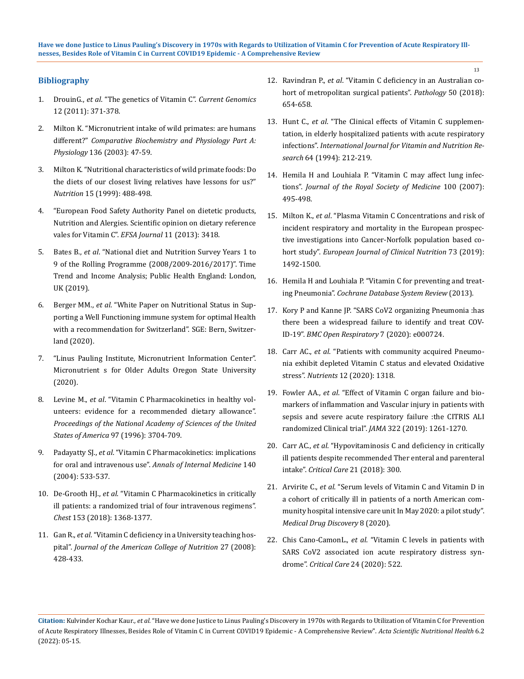# **Bibliography**

- 1. DrouinG., *et al*. "The genetics of Vitamin C". *Current Genomics*  12 (2011): 371-378.
- 2. [Milton K. "Micronutrient intake of wild primates: are humans](https://pubmed.ncbi.nlm.nih.gov/14527629/)  different?" *[Comparative Biochemistry and Physiology Part A:](https://pubmed.ncbi.nlm.nih.gov/14527629/)  Physiology* [136 \(2003\): 47-59.](https://pubmed.ncbi.nlm.nih.gov/14527629/)
- 3. [Milton K. "Nutritional characteristics of wild primate foods: Do](https://pubmed.ncbi.nlm.nih.gov/10378206/)  [the diets of our closest living relatives have lessons for us?"](https://pubmed.ncbi.nlm.nih.gov/10378206/)  *Nutrition* [15 \(1999\): 488-498.](https://pubmed.ncbi.nlm.nih.gov/10378206/)
- 4. "European Food Safety Authority Panel on dietetic products, Nutrition and Alergies. Scientific opinion on dietary reference vales for Vitamin C". *EFSA Journal* 11 (2013): 3418.
- 5. Bates B., *et al*. "National diet and Nutrition Survey Years 1 to 9 of the Rolling Programme (2008/2009-2016/2017)". Time Trend and Income Analysis; Public Health England: London, UK (2019).
- 6. Berger MM., *et al*. "White Paper on Nutritional Status in Supporting a Well Functioning immune system for optimal Health with a recommendation for Switzerland". SGE: Bern, Switzerland (2020).
- 7. "Linus Pauling Institute, Micronutrient Information Center". Micronutrient s for Older Adults Oregon State University (2020).
- 8. Levine M., *et al*[. "Vitamin C Pharmacokinetics in healthy vol](https://pubmed.ncbi.nlm.nih.gov/8623000/)[unteers: evidence for a recommended dietary allowance".](https://pubmed.ncbi.nlm.nih.gov/8623000/)  *[Proceedings of the National Academy of Sciences of the United](https://pubmed.ncbi.nlm.nih.gov/8623000/)  States of America* [97 \(1996\): 3704-709.](https://pubmed.ncbi.nlm.nih.gov/8623000/)
- 9. Padayatty SJ., *et al*[. "Vitamin C Pharmacokinetics: implications](https://pubmed.ncbi.nlm.nih.gov/15068981/)  for oral and intravenous use". *[Annals of Internal Medicine](https://pubmed.ncbi.nlm.nih.gov/15068981/)* 140 [\(2004\): 533-537.](https://pubmed.ncbi.nlm.nih.gov/15068981/)
- 10. De-Grooth HJ., *et al*[. "Vitamin C Pharmacokinetics in critically](https://pubmed.ncbi.nlm.nih.gov/29522710/)  [ill patients: a randomized trial of four intravenous regimens".](https://pubmed.ncbi.nlm.nih.gov/29522710/)  *Chest* [153 \(2018\): 1368-1377.](https://pubmed.ncbi.nlm.nih.gov/29522710/)
- 11. Gan R., *et al*[. "Vitamin C deficiency in a University teaching hos](https://pubmed.ncbi.nlm.nih.gov/18838532/)pital". *[Journal of the American College of Nutrition](https://pubmed.ncbi.nlm.nih.gov/18838532/)* 27 (2008): [428-433.](https://pubmed.ncbi.nlm.nih.gov/18838532/)
- 12. Ravindran P., *et al*[. "Vitamin C deficiency in an Australian co](https://pubmed.ncbi.nlm.nih.gov/30177219/)[hort of metropolitan surgical patients".](https://pubmed.ncbi.nlm.nih.gov/30177219/) *Pathology* 50 (2018): [654-658.](https://pubmed.ncbi.nlm.nih.gov/30177219/)
- 13. Hunt C., *et al*[. "The Clinical effects of Vitamin C supplemen](https://pubmed.ncbi.nlm.nih.gov/7814237/)[tation, in elderly hospitalized patients with acute respiratory](https://pubmed.ncbi.nlm.nih.gov/7814237/) infections". *[International Journal for Vitamin and Nutrition Re](https://pubmed.ncbi.nlm.nih.gov/7814237/)search* [64 \(1994\): 212-219.](https://pubmed.ncbi.nlm.nih.gov/7814237/)
- 14. [Hemila H and Louhiala P. "Vitamin C may affect lung infec](https://www.ncbi.nlm.nih.gov/pmc/articles/PMC2099400/)tions". *[Journal of the Royal Society of Medicine](https://www.ncbi.nlm.nih.gov/pmc/articles/PMC2099400/)* 100 (2007): [495-498.](https://www.ncbi.nlm.nih.gov/pmc/articles/PMC2099400/)
- 15. Milton K., *et al*[. "Plasma Vitamin C Concentrations and risk of](https://pubmed.ncbi.nlm.nih.gov/30705384/) [incident respiratory and mortality in the European prospec](https://pubmed.ncbi.nlm.nih.gov/30705384/)[tive investigations into Cancer-Norfolk population based co](https://pubmed.ncbi.nlm.nih.gov/30705384/)hort study". *[European Journal of Clinical Nutrition](https://pubmed.ncbi.nlm.nih.gov/30705384/)* 73 (2019): [1492-1500.](https://pubmed.ncbi.nlm.nih.gov/30705384/)
- 16. Hemila H and Louhiala P. "Vitamin C for preventing and treating Pneumonia". *Cochrane Database System Review* (2013).
- 17. [Kory P and Kanne JP. "SARS CoV2 organizing Pneumonia :has](https://bmjopenrespres.bmj.com/content/7/1/e000724) [there been a widespread failure to identify and treat COV-](https://bmjopenrespres.bmj.com/content/7/1/e000724)ID-19". *[BMC Open Respiratory](https://bmjopenrespres.bmj.com/content/7/1/e000724)* 7 (2020): e000724.
- 18. Carr AC., *et al*[. "Patients with community acquired Pneumo](https://pubmed.ncbi.nlm.nih.gov/32384616/)[nia exhibit depleted Vitamin C status and elevated Oxidative](https://pubmed.ncbi.nlm.nih.gov/32384616/) stress". *Nutrients* [12 \(2020\): 1318.](https://pubmed.ncbi.nlm.nih.gov/32384616/)
- 19. Fowler AA., *et al*[. "Effect of Vitamin C organ failure and bio](https://pubmed.ncbi.nlm.nih.gov/31573637/)[markers of inflammation and Vascular injury in patients with](https://pubmed.ncbi.nlm.nih.gov/31573637/) [sepsis and severe acute respiratory failure :the CITRIS ALI](https://pubmed.ncbi.nlm.nih.gov/31573637/) [randomized Clinical trial".](https://pubmed.ncbi.nlm.nih.gov/31573637/) *JAMA* 322 (2019): 1261-1270.
- 20. Carr AC., *et al*[. "Hypovitaminosis C and deficiency in critically](https://pubmed.ncbi.nlm.nih.gov/29228951/) [ill patients despite recommended Ther enteral and parenteral](https://pubmed.ncbi.nlm.nih.gov/29228951/) intake". *Critical Care* [21 \(2018\): 300.](https://pubmed.ncbi.nlm.nih.gov/29228951/)
- 21. Arvirite C., *et al*[. "Serum levels of Vitamin C and Vitamin D in](https://pubmed.ncbi.nlm.nih.gov/32964205/) [a cohort of critically ill in patients of a north American com](https://pubmed.ncbi.nlm.nih.gov/32964205/)[munity hospital intensive care unit In May 2020: a pilot study".](https://pubmed.ncbi.nlm.nih.gov/32964205/) *Medical [Drug Discovery](https://pubmed.ncbi.nlm.nih.gov/32964205/)* 8 (2020).
- 22. Chis Cano-CamonL., *et al*[. "Vitamin C levels in patients with](https://ccforum.biomedcentral.com/articles/10.1186/s13054-020-03249-y) [SARS CoV2 associated ion acute respiratory distress syn](https://ccforum.biomedcentral.com/articles/10.1186/s13054-020-03249-y)drome". *Critical Care* [24 \(2020\): 522.](https://ccforum.biomedcentral.com/articles/10.1186/s13054-020-03249-y)

**Citation:** Kulvinder Kochar Kaur*., et al.* "Have we done Justice to Linus Pauling's Discovery in 1970s with Regards to Utilization of Vitamin C for Prevention of Acute Respiratory Illnesses, Besides Role of Vitamin C in Current COVID19 Epidemic - A Comprehensive Review". *Acta Scientific Nutritional Health* 6.2 (2022): 05-15.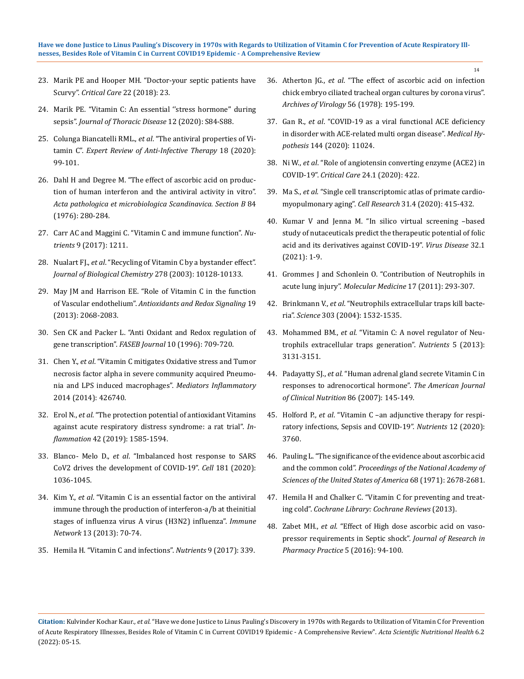### **Have we done Justice to Linus Pauling's Discovery in 1970s with Regards to Utilization of Vitamin C for Prevention of Acute Respiratory Illnesses, Besides Role of Vitamin C in Current COVID19 Epidemic - A Comprehensive Review**

- 23. [Marik PE and Hooper MH. "Doctor-your septic patients have](https://ccforum.biomedcentral.com/articles/10.1186/s13054-018-1950-z)  Scurvy". *[Critical Care](https://ccforum.biomedcentral.com/articles/10.1186/s13054-018-1950-z)* 22 (2018): 23.
- 24. [Marik PE. "Vitamin C: An essential ''stress hormone'' during](https://pubmed.ncbi.nlm.nih.gov/32148930/)  sepsis". *[Journal of Thoracic Disease](https://pubmed.ncbi.nlm.nih.gov/32148930/)* 12 (2020): S84-S88.
- 25. Colunga Biancatelli RML., *et al*[. "The antiviral properties of Vi](https://pubmed.ncbi.nlm.nih.gov/31852327/)tamin C". *[Expert Review of Anti-Infective Therapy](https://pubmed.ncbi.nlm.nih.gov/31852327/)* 18 (2020): [99-101.](https://pubmed.ncbi.nlm.nih.gov/31852327/)
- 26. [Dahl H and Degree M. "The effect of ascorbic acid on produc](https://pubmed.ncbi.nlm.nih.gov/970135/)[tion of human interferon and the antiviral activity in vitro".](https://pubmed.ncbi.nlm.nih.gov/970135/)  *[Acta pathologica et microbiologica Scandinavica. Section B](https://pubmed.ncbi.nlm.nih.gov/970135/)* 84 [\(1976\): 280-284.](https://pubmed.ncbi.nlm.nih.gov/970135/)
- 27. [Carr AC and Maggini C. "Vitamin C and immune function".](https://www.ncbi.nlm.nih.gov/pmc/articles/PMC5707683/) *Nutrients* [9 \(2017\): 1211.](https://www.ncbi.nlm.nih.gov/pmc/articles/PMC5707683/)
- 28. Nualart FJ., *et al*[. "Recycling of Vitamin C by a bystander effect".](https://pubmed.ncbi.nlm.nih.gov/12435736/)  *[Journal of Biological Chemistry](https://pubmed.ncbi.nlm.nih.gov/12435736/)* 278 (2003): 10128-10133.
- 29. [May JM and Harrison EE. "Role of Vitamin C in the function](https://pubmed.ncbi.nlm.nih.gov/23581713/)  of Vascular endothelium". *[Antioxidants and Redox Signaling](https://pubmed.ncbi.nlm.nih.gov/23581713/)* 19 [\(2013\): 2068-2083.](https://pubmed.ncbi.nlm.nih.gov/23581713/)
- 30. [Sen CK and Packer L. "Anti Oxidant and Redox regulation of](https://pubmed.ncbi.nlm.nih.gov/8635688/)  gene transcription". *FASEB Journal* [10 \(1996\): 709-720.](https://pubmed.ncbi.nlm.nih.gov/8635688/)
- 31. Chen Y., *et al*[. "Vitamin C mitigates Oxidative stress and Tumor](https://pubmed.ncbi.nlm.nih.gov/25253919/)  [necrosis factor alpha in severe community acquired Pneumo](https://pubmed.ncbi.nlm.nih.gov/25253919/)[nia and LPS induced macrophages".](https://pubmed.ncbi.nlm.nih.gov/25253919/) *Mediators Inflammatory* [2014 \(2014\): 426740.](https://pubmed.ncbi.nlm.nih.gov/25253919/)
- 32. Erol N., *et al*[. "The protection potential of antioxidant Vitamins](https://pubmed.ncbi.nlm.nih.gov/31081527/)  [against acute respiratory distress syndrome: a rat trial".](https://pubmed.ncbi.nlm.nih.gov/31081527/) *Inflammation* [42 \(2019\): 1585-1594.](https://pubmed.ncbi.nlm.nih.gov/31081527/)
- 33. Blanco- Melo D., *et al*[. "Imbalanced host response to SARS](https://pubmed.ncbi.nlm.nih.gov/32416070/)  [CoV2 drives the development of COVID-19".](https://pubmed.ncbi.nlm.nih.gov/32416070/) *Cell* 181 (2020): [1036-1045.](https://pubmed.ncbi.nlm.nih.gov/32416070/)
- 34. Kim Y., *et al*[. "Vitamin C is an essential factor on the antiviral](https://pubmed.ncbi.nlm.nih.gov/23700397/)  [immune through the production of interferon-a/b at theinitial](https://pubmed.ncbi.nlm.nih.gov/23700397/)  [stages of influenza virus A virus \(H3N2\) influenza".](https://pubmed.ncbi.nlm.nih.gov/23700397/) *Immune Network* [13 \(2013\): 70-74.](https://pubmed.ncbi.nlm.nih.gov/23700397/)
- 35. [Hemila H. "Vitamin C and infections".](https://www.ncbi.nlm.nih.gov/pmc/articles/PMC5409678/) *Nutrients* 9 (2017): 339.

36. Atherton JG., *et al*[. "The effect of ascorbic acid on infection](https://pubmed.ncbi.nlm.nih.gov/205194/) [chick embryo ciliated tracheal organ cultures by corona virus".](https://pubmed.ncbi.nlm.nih.gov/205194/) *[Archives of Virology](https://pubmed.ncbi.nlm.nih.gov/205194/)* 56 (1978): 195-199.

14

- 37. Gan R., *et al*[. "COVID-19 as a viral functional ACE deficiency](https://pubmed.ncbi.nlm.nih.gov/32758871/) [in disorder with ACE-related multi organ disease".](https://pubmed.ncbi.nlm.nih.gov/32758871/) *Medical Hypothesis* [144 \(2020\): 11024.](https://pubmed.ncbi.nlm.nih.gov/32758871/)
- 38. Ni W., *et al*[. "Role of angiotensin converting enzyme \(ACE2\) in](https://pubmed.ncbi.nlm.nih.gov/32660650/) COVID-19". *Critical Care* [24.1 \(2020\): 422.](https://pubmed.ncbi.nlm.nih.gov/32660650/)
- 39. Ma S., *et al*[. "Single cell transcriptomic atlas of primate cardio](https://pubmed.ncbi.nlm.nih.gov/32913304/)[myopulmonary aging".](https://pubmed.ncbi.nlm.nih.gov/32913304/) *Cell Research* 31.4 (2020): 415-432.
- 40. [Kumar V and Jenna M. "In silico virtual screening –based](https://pubmed.ncbi.nlm.nih.gov/33532517/) [study of nutaceuticals predict the therapeutic potential of folic](https://pubmed.ncbi.nlm.nih.gov/33532517/) [acid and its derivatives against COVID-19".](https://pubmed.ncbi.nlm.nih.gov/33532517/) *Virus Disease* 32.1 [\(2021\): 1-9.](https://pubmed.ncbi.nlm.nih.gov/33532517/)
- 41. [Grommes J and Schonlein O. "Contribution of Neutrophils in](https://pubmed.ncbi.nlm.nih.gov/21046059/) acute lung injury". *[Molecular Medicine](https://pubmed.ncbi.nlm.nih.gov/21046059/)* 17 (2011): 293-307.
- 42. Brinkmann V., *et al*[. "Neutrophils extracellular traps kill bacte](https://pubmed.ncbi.nlm.nih.gov/15001782/)ria". *Science* [303 \(2004\): 1532-1535.](https://pubmed.ncbi.nlm.nih.gov/15001782/)
- 43. Mohammed BM., *et al*[. "Vitamin C: A novel regulator of Neu](https://www.ncbi.nlm.nih.gov/pmc/articles/PMC3775246/)[trophils extracellular traps generation".](https://www.ncbi.nlm.nih.gov/pmc/articles/PMC3775246/) *Nutrients* 5 (2013): [3131-3151.](https://www.ncbi.nlm.nih.gov/pmc/articles/PMC3775246/)
- 44. Padayatty SJ., *et al*[. "Human adrenal gland secrete Vitamin C in](https://pubmed.ncbi.nlm.nih.gov/17616774/) [responses to adrenocortical hormone".](https://pubmed.ncbi.nlm.nih.gov/17616774/) *The American Journal [of Clinical Nutrition](https://pubmed.ncbi.nlm.nih.gov/17616774/)* 86 (2007): 145-149.
- 45. Holford P., *et al*[. "Vitamin C –an adjunctive therapy for respi](https://pubmed.ncbi.nlm.nih.gov/33297491/)[ratory infections, Sepsis and COVID-19".](https://pubmed.ncbi.nlm.nih.gov/33297491/) *Nutrients* 12 (2020): [3760.](https://pubmed.ncbi.nlm.nih.gov/33297491/)
- 46. [Pauling L. "The significance of the evidence about ascorbic acid](https://www.ncbi.nlm.nih.gov/pmc/articles/PMC389499/) and the common cold". *[Proceedings of the National Academy of](https://www.ncbi.nlm.nih.gov/pmc/articles/PMC389499/) [Sciences of the United States of America](https://www.ncbi.nlm.nih.gov/pmc/articles/PMC389499/)* 68 (1971): 2678-2681.
- 47. [Hemila H and Chalker C. "Vitamin C for preventing and treat](https://pubmed.ncbi.nlm.nih.gov/23440782/)ing cold". *[Cochrane Library: Cochrane Reviews](https://pubmed.ncbi.nlm.nih.gov/23440782/)* (2013).
- 48. Zabet MH., *et al*[. "Effect of High dose ascorbic acid on vaso](https://www.ncbi.nlm.nih.gov/pmc/articles/PMC4843590/)[pressor requirements in Septic shock".](https://www.ncbi.nlm.nih.gov/pmc/articles/PMC4843590/) *Journal of Research in [Pharmacy Practice](https://www.ncbi.nlm.nih.gov/pmc/articles/PMC4843590/)* 5 (2016): 94-100.

**Citation:** Kulvinder Kochar Kaur*., et al.* "Have we done Justice to Linus Pauling's Discovery in 1970s with Regards to Utilization of Vitamin C for Prevention of Acute Respiratory Illnesses, Besides Role of Vitamin C in Current COVID19 Epidemic - A Comprehensive Review". *Acta Scientific Nutritional Health* 6.2 (2022): 05-15.